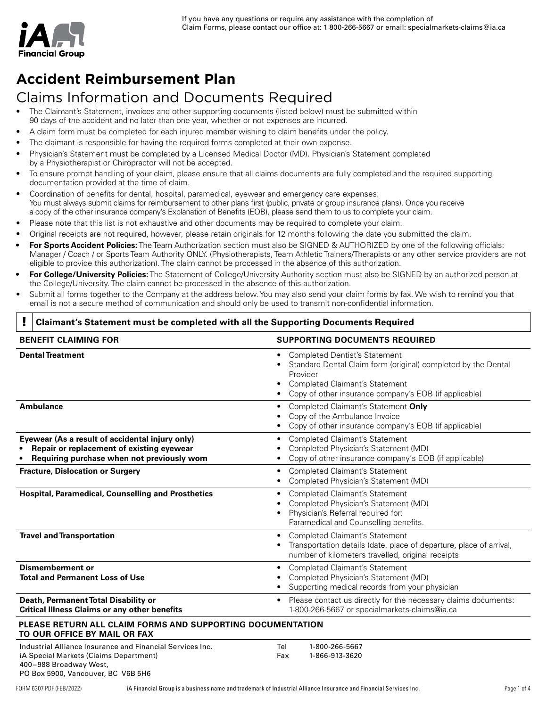# **Accident Reimbursement Plan**

# Claims Information and Documents Required

- The Claimant's Statement, invoices and other supporting documents (listed below) must be submitted within 90 days of the accident and no later than one year, whether or not expenses are incurred.
- A claim form must be completed for each injured member wishing to claim benefits under the policy.
- The claimant is responsible for having the required forms completed at their own expense.
- Physician's Statement must be completed by a Licensed Medical Doctor (MD). Physician's Statement completed by a Physiotherapist or Chiropractor will not be accepted.
- To ensure prompt handling of your claim, please ensure that all claims documents are fully completed and the required supporting documentation provided at the time of claim.
- Coordination of benefits for dental, hospital, paramedical, eyewear and emergency care expenses: You must always submit claims for reimbursement to other plans first (public, private or group insurance plans). Once you receive a copy of the other insurance company's Explanation of Benefits (EOB), please send them to us to complete your claim.
- Please note that this list is not exhaustive and other documents may be required to complete your claim.
- Original receipts are not required, however, please retain originals for 12 months following the date you submitted the claim.
- **• For Sports Accident Policies:** The Team Authorization section must also be SIGNED & AUTHORIZED by one of the following officials: Manager / Coach / or Sports Team Authority ONLY. (Physiotherapists, Team Athletic Trainers/Therapists or any other service providers are not eligible to provide this authorization). The claim cannot be processed in the absence of this authorization.
- **• For College/University Policies:** The Statement of College/University Authority section must also be SIGNED by an authorized person at the College/University. The claim cannot be processed in the absence of this authorization.
- Submit all forms together to the Company at the address below. You may also send your claim forms by fax. We wish to remind you that email is not a secure method of communication and should only be used to transmit non-confidential information.

#### ! **Claimant's Statement must be completed with all the Supporting Documents Required**

| <b>BENEFIT CLAIMING FOR</b>                                                                                                                                         | <b>SUPPORTING DOCUMENTS REQUIRED</b>                                                                                                                                                                                |  |  |  |  |
|---------------------------------------------------------------------------------------------------------------------------------------------------------------------|---------------------------------------------------------------------------------------------------------------------------------------------------------------------------------------------------------------------|--|--|--|--|
| <b>Dental Treatment</b>                                                                                                                                             | <b>Completed Dentist's Statement</b><br>Standard Dental Claim form (original) completed by the Dental<br>Provider<br><b>Completed Claimant's Statement</b><br>Copy of other insurance company's EOB (if applicable) |  |  |  |  |
| <b>Ambulance</b>                                                                                                                                                    | Completed Claimant's Statement Only<br>Copy of the Ambulance Invoice<br>Copy of other insurance company's EOB (if applicable)<br>٠                                                                                  |  |  |  |  |
| Eyewear (As a result of accidental injury only)<br>Repair or replacement of existing eyewear<br>Requiring purchase when not previously worn                         | <b>Completed Claimant's Statement</b><br>٠<br>Completed Physician's Statement (MD)<br>Copy of other insurance company's EOB (if applicable)                                                                         |  |  |  |  |
| <b>Fracture, Dislocation or Surgery</b>                                                                                                                             | <b>Completed Claimant's Statement</b><br>٠<br>Completed Physician's Statement (MD)                                                                                                                                  |  |  |  |  |
| <b>Hospital, Paramedical, Counselling and Prosthetics</b>                                                                                                           | <b>Completed Claimant's Statement</b><br>٠<br>Completed Physician's Statement (MD)<br>Physician's Referral required for:<br>Paramedical and Counselling benefits.                                                   |  |  |  |  |
| <b>Travel and Transportation</b>                                                                                                                                    | <b>Completed Claimant's Statement</b><br>Transportation details (date, place of departure, place of arrival,<br>number of kilometers travelled, original receipts                                                   |  |  |  |  |
| <b>Dismemberment or</b><br><b>Total and Permanent Loss of Use</b>                                                                                                   | <b>Completed Claimant's Statement</b><br>٠<br>Completed Physician's Statement (MD)<br>Supporting medical records from your physician                                                                                |  |  |  |  |
| Death, Permanent Total Disability or<br><b>Critical Illness Claims or any other benefits</b>                                                                        | Please contact us directly for the necessary claims documents:<br>٠<br>1-800-266-5667 or specialmarkets-claims@ia.ca                                                                                                |  |  |  |  |
| PLEASE RETURN ALL CLAIM FORMS AND SUPPORTING DOCUMENTATION<br>TO OUR OFFICE BY MAIL OR FAX                                                                          |                                                                                                                                                                                                                     |  |  |  |  |
| Industrial Alliance Insurance and Financial Services Inc.<br>iA Special Markets (Claims Department)<br>400-988 Broadway West,<br>PO Box 5900, Vancouver, BC V6B 5H6 | 1-800-266-5667<br>Tel<br>1-866-913-3620<br>Fax                                                                                                                                                                      |  |  |  |  |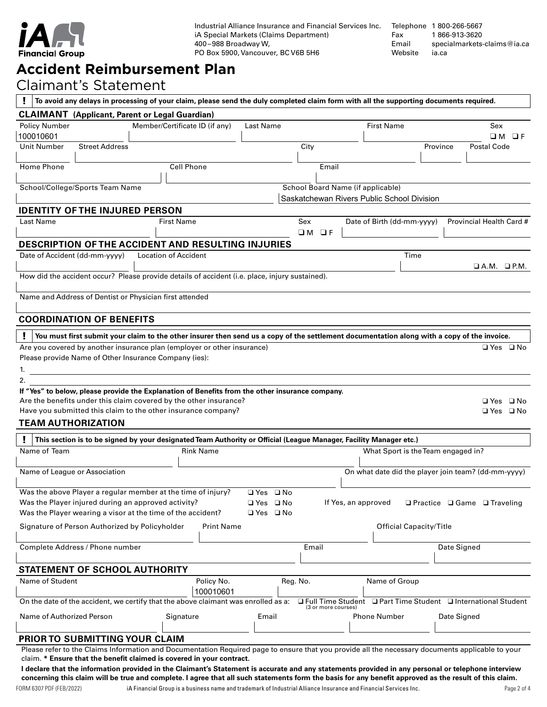

Industrial Alliance Insurance and Financial Services Inc. iA Special Markets (Claims Department) 400 – 988 Broadway W, PO Box 5900, Vancouver, BC V6B 5H6

Telephone 1800-266-5667<br>Fax 1866-913-3620 Fax 1 866-913-3620<br>Email specialmarkets[specialmarkets-claims@ia.ca](mailto: specialmarkets-claims@ia.ca) Website [ia.ca](https://ia.ca/individuals)

# **Accident Reimbursement Plan**

### Claimant's Statement

| To avoid any delays in processing of your claim, please send the duly completed claim form with all the supporting documents required.                                                                                      |                             |                                |            |          |                                            |                     |                                    |                                |             |                                                                 |
|-----------------------------------------------------------------------------------------------------------------------------------------------------------------------------------------------------------------------------|-----------------------------|--------------------------------|------------|----------|--------------------------------------------|---------------------|------------------------------------|--------------------------------|-------------|-----------------------------------------------------------------|
| <b>CLAIMANT</b> (Applicant, Parent or Legal Guardian)                                                                                                                                                                       |                             |                                |            |          |                                            |                     |                                    |                                |             |                                                                 |
| <b>Policy Number</b>                                                                                                                                                                                                        |                             | Member/Certificate ID (if any) | Last Name  |          |                                            |                     | <b>First Name</b>                  |                                |             | Sex                                                             |
| 100010601                                                                                                                                                                                                                   |                             |                                |            |          |                                            |                     |                                    |                                |             | O M<br>$\Box F$                                                 |
| Unit Number<br><b>Street Address</b>                                                                                                                                                                                        |                             |                                |            |          | City                                       |                     |                                    | Province                       |             | <b>Postal Code</b>                                              |
| Home Phone                                                                                                                                                                                                                  |                             | <b>Cell Phone</b>              |            |          | Email                                      |                     |                                    |                                |             |                                                                 |
|                                                                                                                                                                                                                             |                             |                                |            |          |                                            |                     |                                    |                                |             |                                                                 |
| School/College/Sports Team Name                                                                                                                                                                                             |                             |                                |            |          | School Board Name (if applicable)          |                     |                                    |                                |             |                                                                 |
|                                                                                                                                                                                                                             |                             |                                |            |          | Saskatchewan Rivers Public School Division |                     |                                    |                                |             |                                                                 |
| <b>IDENTITY OF THE INJURED PERSON</b>                                                                                                                                                                                       |                             |                                |            |          |                                            |                     |                                    |                                |             |                                                                 |
| Last Name                                                                                                                                                                                                                   | <b>First Name</b>           |                                |            |          | Sex                                        |                     | Date of Birth (dd-mm-yyyy)         |                                |             | Provincial Health Card #                                        |
|                                                                                                                                                                                                                             |                             |                                |            |          | $\square$ M<br>$\Box F$                    |                     |                                    |                                |             |                                                                 |
| <b>DESCRIPTION OF THE ACCIDENT AND RESULTING INJURIES</b>                                                                                                                                                                   |                             |                                |            |          |                                            |                     |                                    |                                |             |                                                                 |
| Date of Accident (dd-mm-yyyy)                                                                                                                                                                                               | <b>Location of Accident</b> |                                |            |          |                                            |                     |                                    | Time                           |             |                                                                 |
|                                                                                                                                                                                                                             |                             |                                |            |          |                                            |                     |                                    |                                |             | $\Box$ A.M. $\Box$ P.M.                                         |
| How did the accident occur? Please provide details of accident (i.e. place, injury sustained).                                                                                                                              |                             |                                |            |          |                                            |                     |                                    |                                |             |                                                                 |
| Name and Address of Dentist or Physician first attended                                                                                                                                                                     |                             |                                |            |          |                                            |                     |                                    |                                |             |                                                                 |
|                                                                                                                                                                                                                             |                             |                                |            |          |                                            |                     |                                    |                                |             |                                                                 |
| <b>COORDINATION OF BENEFITS</b>                                                                                                                                                                                             |                             |                                |            |          |                                            |                     |                                    |                                |             |                                                                 |
|                                                                                                                                                                                                                             |                             |                                |            |          |                                            |                     |                                    |                                |             |                                                                 |
| You must first submit your claim to the other insurer then send us a copy of the settlement documentation along with a copy of the invoice.                                                                                 |                             |                                |            |          |                                            |                     |                                    |                                |             |                                                                 |
| Are you covered by another insurance plan (employer or other insurance)                                                                                                                                                     |                             |                                |            |          |                                            |                     |                                    |                                |             | □ Yes □ No                                                      |
| Please provide Name of Other Insurance Company (ies):                                                                                                                                                                       |                             |                                |            |          |                                            |                     |                                    |                                |             |                                                                 |
| 1.                                                                                                                                                                                                                          |                             |                                |            |          |                                            |                     |                                    |                                |             |                                                                 |
| 2.<br>If "Yes" to below, please provide the Explanation of Benefits from the other insurance company.                                                                                                                       |                             |                                |            |          |                                            |                     |                                    |                                |             |                                                                 |
| Are the benefits under this claim covered by the other insurance?                                                                                                                                                           |                             |                                |            |          |                                            |                     |                                    |                                |             | $\Box$ Yes $\Box$ No                                            |
| Have you submitted this claim to the other insurance company?                                                                                                                                                               |                             |                                |            |          |                                            |                     |                                    |                                |             | $\Box$ Yes $\Box$ No                                            |
| <b>TEAM AUTHORIZATION</b>                                                                                                                                                                                                   |                             |                                |            |          |                                            |                     |                                    |                                |             |                                                                 |
|                                                                                                                                                                                                                             |                             |                                |            |          |                                            |                     |                                    |                                |             |                                                                 |
| This section is to be signed by your designated Team Authority or Official (League Manager, Facility Manager etc.)<br>Name of Team                                                                                          |                             | <b>Rink Name</b>               |            |          |                                            |                     | What Sport is the Team engaged in? |                                |             |                                                                 |
|                                                                                                                                                                                                                             |                             |                                |            |          |                                            |                     |                                    |                                |             |                                                                 |
| Name of League or Association                                                                                                                                                                                               |                             |                                |            |          |                                            |                     |                                    |                                |             | On what date did the player join team? (dd-mm-yyyy)             |
|                                                                                                                                                                                                                             |                             |                                |            |          |                                            |                     |                                    |                                |             |                                                                 |
| Was the above Player a regular member at the time of injury?                                                                                                                                                                |                             |                                | ⊒Yes ⊒No   |          |                                            |                     |                                    |                                |             |                                                                 |
| Was the Player injured during an approved activity?                                                                                                                                                                         |                             |                                | ⊔Yes ⊔No   |          |                                            | If Yes, an approved |                                    |                                |             | $\Box$ Practice $\Box$ Game $\Box$ Traveling                    |
| Was the Player wearing a visor at the time of the accident?                                                                                                                                                                 |                             |                                | ⊔ Yes ⊔ No |          |                                            |                     |                                    |                                |             |                                                                 |
| Signature of Person Authorized by Policyholder                                                                                                                                                                              |                             | Print Name                     |            |          |                                            |                     |                                    | <b>Official Capacity/Title</b> |             |                                                                 |
|                                                                                                                                                                                                                             |                             |                                |            |          |                                            |                     |                                    |                                |             |                                                                 |
| Complete Address / Phone number                                                                                                                                                                                             |                             |                                |            |          | Email                                      |                     |                                    |                                | Date Signed |                                                                 |
|                                                                                                                                                                                                                             |                             |                                |            |          |                                            |                     |                                    |                                |             |                                                                 |
| STATEMENT OF SCHOOL AUTHORITY                                                                                                                                                                                               |                             |                                |            |          |                                            |                     |                                    |                                |             |                                                                 |
| Name of Student                                                                                                                                                                                                             |                             | Policy No.                     |            | Reg. No. |                                            |                     | Name of Group                      |                                |             |                                                                 |
|                                                                                                                                                                                                                             |                             | 100010601                      |            |          |                                            |                     |                                    |                                |             |                                                                 |
| On the date of the accident, we certify that the above claimant was enrolled as a:                                                                                                                                          |                             |                                |            |          | (3 or more courses)                        |                     |                                    |                                |             | □ Full Time Student □ Part Time Student □ International Student |
| Name of Authorized Person                                                                                                                                                                                                   |                             | Signature                      | Email      |          |                                            |                     | Phone Number                       |                                | Date Signed |                                                                 |
|                                                                                                                                                                                                                             |                             |                                |            |          |                                            |                     |                                    |                                |             |                                                                 |
| PRIOR TO SUBMITTING YOUR CLAIM                                                                                                                                                                                              |                             |                                |            |          |                                            |                     |                                    |                                |             |                                                                 |
| Please refer to the Claims Information and Documentation Required page to ensure that you provide all the necessary documents applicable to your                                                                            |                             |                                |            |          |                                            |                     |                                    |                                |             |                                                                 |
| claim. * Ensure that the benefit claimed is covered in your contract.<br>I declare that the information provided in the Claimant's Statement is accurate and any statements provided in any personal or telephone interview |                             |                                |            |          |                                            |                     |                                    |                                |             |                                                                 |
|                                                                                                                                                                                                                             |                             |                                |            |          |                                            |                     |                                    |                                |             |                                                                 |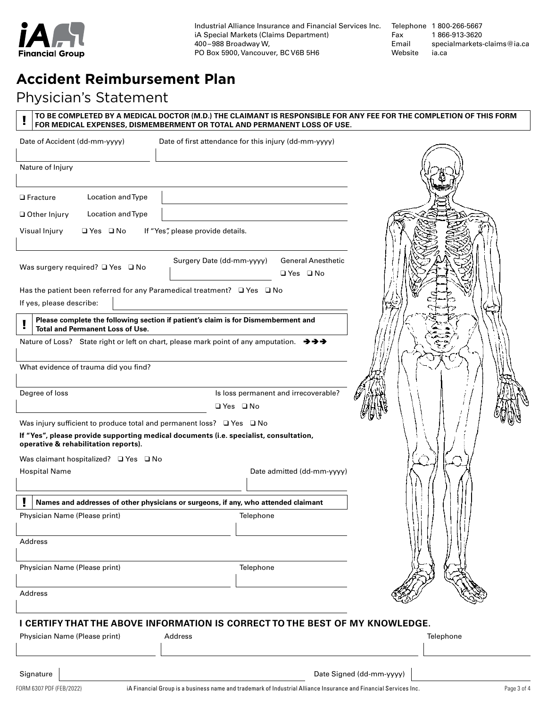

Industrial Alliance Insurance and Financial Services Inc. iA Special Markets (Claims Department) 400 – 988 Broadway W, PO Box 5900, Vancouver, BC V6B 5H6

Telephone 1 800-266-5667 Fax 1 866-913-3620 Email specialmarkets-claims@ia.ca Website

### **Accident Reimbursement Plan**

### Physician's Statement

| FOR MEDICAL EXPENSES, DISMEMBERMENT OR TOTAL AND PERMANENT LOSS OF USE.                                                              |                                                       |                                                   | TO BE COMPLETED BY A MEDICAL DOCTOR (M.D.) THE CLAIMANT IS RESPONSIBLE FOR ANY FEE FOR THE COMPLETION OF THIS FORM |
|--------------------------------------------------------------------------------------------------------------------------------------|-------------------------------------------------------|---------------------------------------------------|--------------------------------------------------------------------------------------------------------------------|
| Date of Accident (dd-mm-yyyy)                                                                                                        | Date of first attendance for this injury (dd-mm-yyyy) |                                                   |                                                                                                                    |
| Nature of Injury                                                                                                                     |                                                       |                                                   |                                                                                                                    |
| Location and Type<br>$\Box$ Fracture                                                                                                 |                                                       |                                                   |                                                                                                                    |
| Location and Type<br>Other Injury                                                                                                    |                                                       |                                                   |                                                                                                                    |
| $\Box$ Yes $\Box$ No<br>Visual Injury                                                                                                | If "Yes", please provide details.                     |                                                   |                                                                                                                    |
| Was surgery required? $\Box$ Yes $\Box$ No                                                                                           | Surgery Date (dd-mm-yyyy)                             | <b>General Anesthetic</b><br>$\Box$ Yes $\Box$ No |                                                                                                                    |
| Has the patient been referred for any Paramedical treatment? $\Box$ Yes $\Box$ No<br>If yes, please describe:                        |                                                       |                                                   |                                                                                                                    |
| Please complete the following section if patient's claim is for Dismemberment and<br><b>Total and Permanent Loss of Use.</b>         |                                                       |                                                   |                                                                                                                    |
| Nature of Loss? State right or left on chart, please mark point of any amputation. $\rightarrow \rightarrow \rightarrow \rightarrow$ |                                                       |                                                   |                                                                                                                    |
| What evidence of trauma did you find?                                                                                                |                                                       |                                                   |                                                                                                                    |
| Degree of loss                                                                                                                       | $\Box$ Yes $\Box$ No                                  | Is loss permanent and irrecoverable?              |                                                                                                                    |
| Was injury sufficient to produce total and permanent loss? $\Box$ Yes $\Box$ No                                                      |                                                       |                                                   |                                                                                                                    |
| If "Yes", please provide supporting medical documents (i.e. specialist, consultation,<br>operative & rehabilitation reports).        |                                                       |                                                   |                                                                                                                    |
| Was claimant hospitalized? $\Box$ Yes $\Box$ No                                                                                      |                                                       |                                                   |                                                                                                                    |
| <b>Hospital Name</b>                                                                                                                 |                                                       | Date admitted (dd-mm-yyyy)                        |                                                                                                                    |
| Names and addresses of other physicians or surgeons, if any, who attended claimant                                                   |                                                       |                                                   |                                                                                                                    |
| Physician Name (Please print)                                                                                                        | Telephone                                             |                                                   |                                                                                                                    |
| Address                                                                                                                              |                                                       |                                                   |                                                                                                                    |
| Physician Name (Please print)                                                                                                        | Telephone                                             |                                                   |                                                                                                                    |
| Address                                                                                                                              |                                                       |                                                   |                                                                                                                    |
| I CERTIFY THAT THE ABOVE INFORMATION IS CORRECT TO THE BEST OF MY KNOWLEDGE.<br>Physician Name (Please print)                        | Address                                               |                                                   | Telephone                                                                                                          |
| Signature                                                                                                                            |                                                       |                                                   | Date Signed (dd-mm-yyyy)                                                                                           |